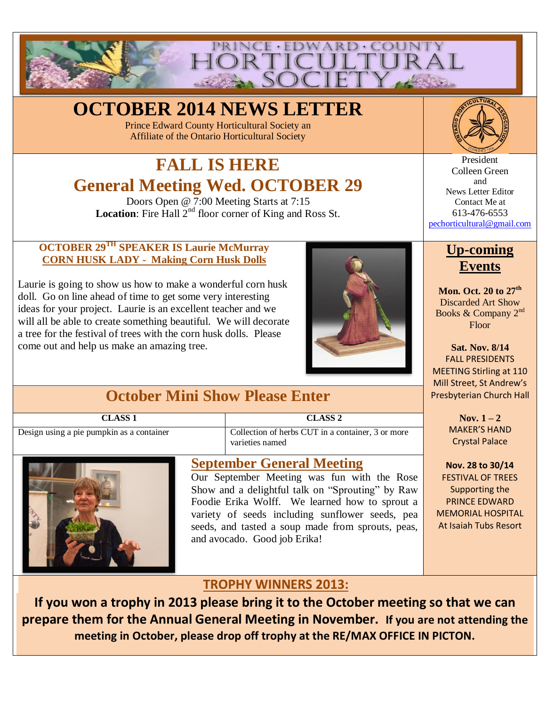

# **OCTOBER 2014 NEWS LETTER**

Prince Edward County Horticultural Society an Affiliate of the Ontario Horticultural Society

# **FALL IS HERE General Meeting Wed. OCTOBER 29**

Doors Open @ 7:00 Meeting Starts at 7:15 **Location**: Fire Hall 2<sup>nd</sup> floor corner of King and Ross St.

#### **OCTOBER 29TH SPEAKER IS Laurie McMurray CORN HUSK LADY - Making Corn Husk Dolls**

Laurie is going to show us how to make a wonderful corn husk doll. Go on line ahead of time to get some very interesting ideas for your project. Laurie is an excellent teacher and we will all be able to create something beautiful. We will decorate a tree for the festival of trees with the corn husk dolls. Please come out and help us make an amazing tree.



## **October Mini Show Please Enter**

| <b>CLASS 1</b>                            | CLASS <sub>2</sub>                                                   |
|-------------------------------------------|----------------------------------------------------------------------|
| Design using a pie pumpkin as a container | Collection of herbs CUT in a container, 3 or more<br>varieties named |



### **September General Meeting**

Our September Meeting was fun with the Rose Show and a delightful talk on "Sprouting" by Raw Foodie Erika Wolff. We learned how to sprout a variety of seeds including sunflower seeds, pea seeds, and tasted a soup made from sprouts, peas, and avocado. Good job Erika!



President Colleen Green and News Letter Editor Contact Me at 613-476-6553 [pechorticultural@gmail.com](mailto:pechorticultural@gmail.com)

## **Up-coming Events**

**Mon. Oct. 20 to 27th** Discarded Art Show Books & Company 2<sup>nd</sup> Floor

**Sat. Nov. 8/14**  FALL PRESIDENTS MEETING Stirling at 110 Mill Street, St Andrew's Presbyterian Church Hall

> **Nov.**  $1 - 2$ MAKER'S HAND Crystal Palace

**Nov. 28 to 30/14** FESTIVAL OF TREES Supporting the PRINCE EDWARD MEMORIAL HOSPITAL At Isaiah Tubs Resort

### **TROPHY WINNERS 2013:**

**If you won a trophy in 2013 please bring it to the October meeting so that we can prepare them for the Annual General Meeting in November. If you are not attending the meeting in October, please drop off trophy at the RE/MAX OFFICE IN PICTON.**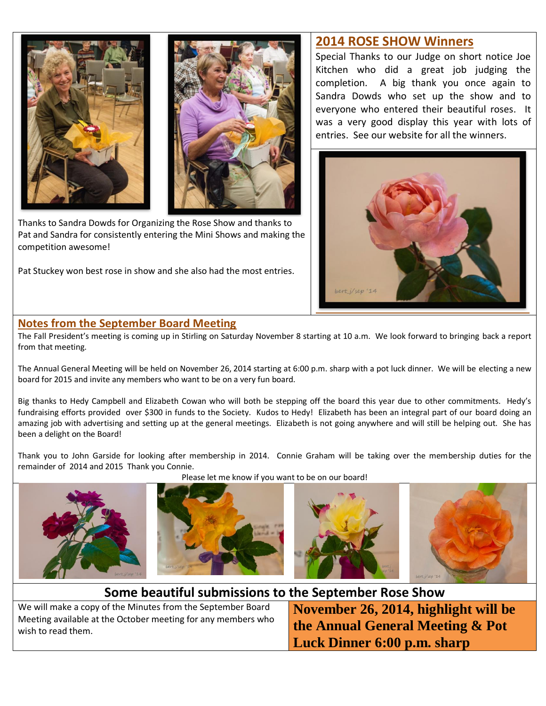



Thanks to Sandra Dowds for Organizing the Rose Show and thanks to Pat and Sandra for consistently entering the Mini Shows and making the competition awesome!

Pat Stuckey won best rose in show and she also had the most entries.

#### **2014 ROSE SHOW Winners**

Special Thanks to our Judge on short notice Joe Kitchen who did a great job judging the completion. A big thank you once again to Sandra Dowds who set up the show and to everyone who entered their beautiful roses. It was a very good display this year with lots of entries. See our website for all the winners.



#### **Notes from the September Board Meeting**

The Fall President's meeting is coming up in Stirling on Saturday November 8 starting at 10 a.m. We look forward to bringing back a report from that meeting.

The Annual General Meeting will be held on November 26, 2014 starting at 6:00 p.m. sharp with a pot luck dinner. We will be electing a new board for 2015 and invite any members who want to be on a very fun board.

Big thanks to Hedy Campbell and Elizabeth Cowan who will both be stepping off the board this year due to other commitments. Hedy's fundraising efforts provided over \$300 in funds to the Society. Kudos to Hedy! Elizabeth has been an integral part of our board doing an amazing job with advertising and setting up at the general meetings. Elizabeth is not going anywhere and will still be helping out. She has been a delight on the Board!

Thank you to John Garside for looking after membership in 2014. Connie Graham will be taking over the membership duties for the remainder of 2014 and 2015 Thank you Connie.

Please let me know if you want to be on our board!



**Some beautiful submissions to the September Rose Show**

We will make a copy of the Minutes from the September Board Meeting available at the October meeting for any members who wish to read them.

**November 26, 2014, highlight will be the Annual General Meeting & Pot Luck Dinner 6:00 p.m. sharp**